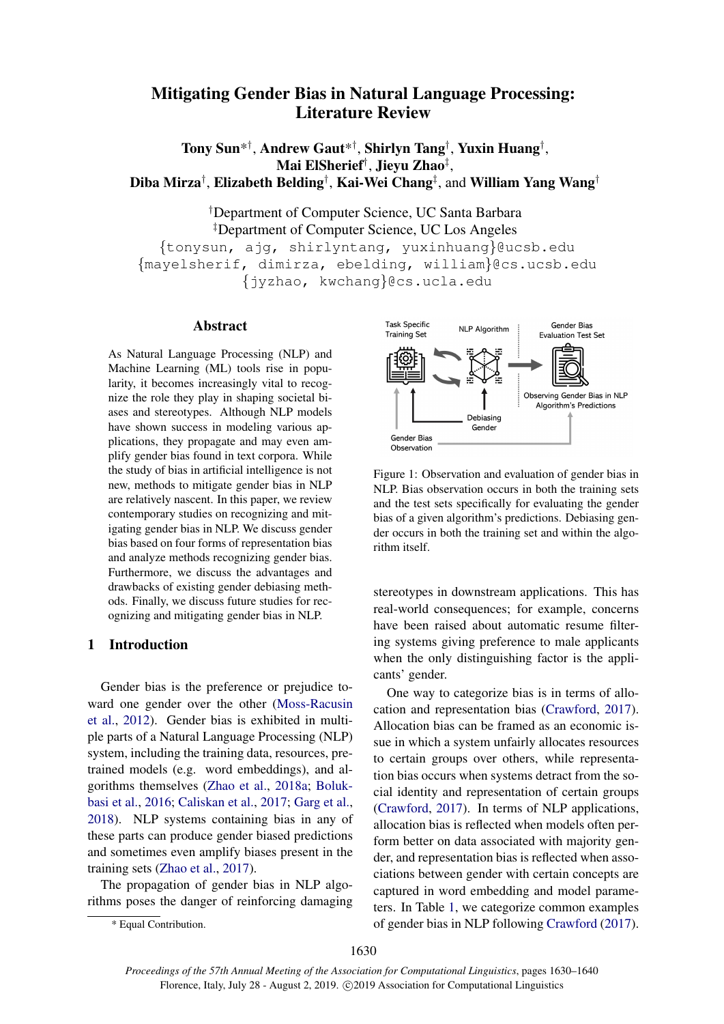# <span id="page-0-1"></span>Mitigating Gender Bias in Natural Language Processing: Literature Review

Tony Sun\* † , Andrew Gaut\* † , Shirlyn Tang† , Yuxin Huang† , Mai ElSherief† , Jieyu Zhao‡ , Diba Mirza $^\dagger$ , Elizabeth Belding $^\dagger$ , Kai-Wei Chang $^\ddagger$ , and William Yang Wang $^\dagger$ 

†Department of Computer Science, UC Santa Barbara ‡Department of Computer Science, UC Los Angeles {tonysun, ajg, shirlyntang, yuxinhuang}@ucsb.edu {mayelsherif, dimirza, ebelding, william}@cs.ucsb.edu {jyzhao, kwchang}@cs.ucla.edu

#### Abstract

As Natural Language Processing (NLP) and Machine Learning (ML) tools rise in popularity, it becomes increasingly vital to recognize the role they play in shaping societal biases and stereotypes. Although NLP models have shown success in modeling various applications, they propagate and may even amplify gender bias found in text corpora. While the study of bias in artificial intelligence is not new, methods to mitigate gender bias in NLP are relatively nascent. In this paper, we review contemporary studies on recognizing and mitigating gender bias in NLP. We discuss gender bias based on four forms of representation bias and analyze methods recognizing gender bias. Furthermore, we discuss the advantages and drawbacks of existing gender debiasing methods. Finally, we discuss future studies for recognizing and mitigating gender bias in NLP.

# <span id="page-0-2"></span>1 Introduction

Gender bias is the preference or prejudice toward one gender over the other [\(Moss-Racusin](#page-9-0) [et al.,](#page-9-0) [2012\)](#page-9-0). Gender bias is exhibited in multiple parts of a Natural Language Processing (NLP) system, including the training data, resources, pretrained models (e.g. word embeddings), and algorithms themselves [\(Zhao et al.,](#page-10-0) [2018a;](#page-10-0) [Boluk](#page-8-0)[basi et al.,](#page-8-0) [2016;](#page-8-0) [Caliskan et al.,](#page-8-1) [2017;](#page-8-1) [Garg et al.,](#page-8-2) [2018\)](#page-8-2). NLP systems containing bias in any of these parts can produce gender biased predictions and sometimes even amplify biases present in the training sets [\(Zhao et al.,](#page-10-1) [2017\)](#page-10-1).

The propagation of gender bias in NLP algorithms poses the danger of reinforcing damaging

<span id="page-0-0"></span>

Figure 1: Observation and evaluation of gender bias in NLP. Bias observation occurs in both the training sets and the test sets specifically for evaluating the gender bias of a given algorithm's predictions. Debiasing gender occurs in both the training set and within the algorithm itself.

stereotypes in downstream applications. This has real-world consequences; for example, concerns have been raised about automatic resume filtering systems giving preference to male applicants when the only distinguishing factor is the applicants' gender.

One way to categorize bias is in terms of allocation and representation bias [\(Crawford,](#page-8-3) [2017\)](#page-8-3). Allocation bias can be framed as an economic issue in which a system unfairly allocates resources to certain groups over others, while representation bias occurs when systems detract from the social identity and representation of certain groups [\(Crawford,](#page-8-3) [2017\)](#page-8-3). In terms of NLP applications, allocation bias is reflected when models often perform better on data associated with majority gender, and representation bias is reflected when associations between gender with certain concepts are captured in word embedding and model parameters. In Table [1,](#page-1-0) we categorize common examples of gender bias in NLP following [Crawford](#page-8-3) [\(2017\)](#page-8-3).

<sup>\*</sup> Equal Contribution.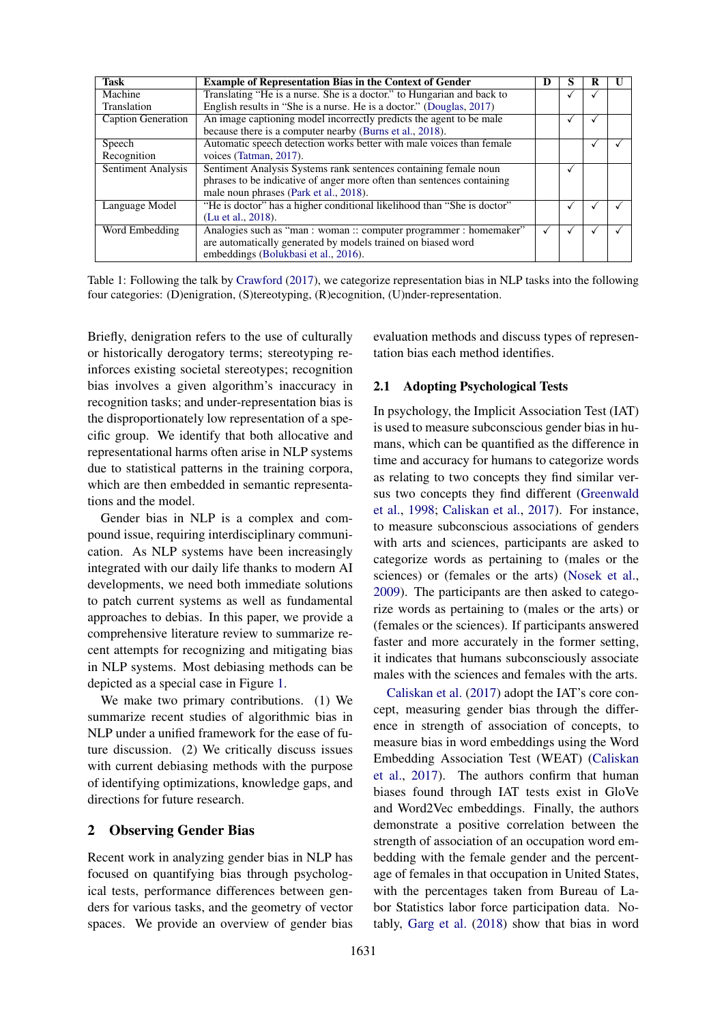<span id="page-1-0"></span>

| <b>Task</b>        | <b>Example of Representation Bias in the Context of Gender</b>          |  | O |  |
|--------------------|-------------------------------------------------------------------------|--|---|--|
| Machine            | Translating "He is a nurse. She is a doctor." to Hungarian and back to  |  |   |  |
| Translation        | English results in "She is a nurse. He is a doctor." (Douglas, 2017)    |  |   |  |
| Caption Generation | An image captioning model incorrectly predicts the agent to be male     |  |   |  |
|                    | because there is a computer nearby (Burns et al., 2018).                |  |   |  |
| Speech             | Automatic speech detection works better with male voices than female    |  |   |  |
| Recognition        | voices (Tatman, 2017).                                                  |  |   |  |
| Sentiment Analysis | Sentiment Analysis Systems rank sentences containing female noun        |  | √ |  |
|                    | phrases to be indicative of anger more often than sentences containing  |  |   |  |
|                    | male noun phrases (Park et al., 2018).                                  |  |   |  |
| Language Model     | "He is doctor" has a higher conditional likelihood than "She is doctor" |  | √ |  |
|                    | (Lu et al., 2018).                                                      |  |   |  |
| Word Embedding     | Analogies such as "man : woman :: computer programmer : homemaker"      |  |   |  |
|                    | are automatically generated by models trained on biased word            |  |   |  |
|                    | embeddings (Bolukbasi et al., 2016).                                    |  |   |  |

Table 1: Following the talk by [Crawford](#page-8-3) [\(2017\)](#page-8-3), we categorize representation bias in NLP tasks into the following four categories: (D)enigration, (S)tereotyping, (R)ecognition, (U)nder-representation.

Briefly, denigration refers to the use of culturally or historically derogatory terms; stereotyping reinforces existing societal stereotypes; recognition bias involves a given algorithm's inaccuracy in recognition tasks; and under-representation bias is the disproportionately low representation of a specific group. We identify that both allocative and representational harms often arise in NLP systems due to statistical patterns in the training corpora, which are then embedded in semantic representations and the model.

Gender bias in NLP is a complex and compound issue, requiring interdisciplinary communication. As NLP systems have been increasingly integrated with our daily life thanks to modern AI developments, we need both immediate solutions to patch current systems as well as fundamental approaches to debias. In this paper, we provide a comprehensive literature review to summarize recent attempts for recognizing and mitigating bias in NLP systems. Most debiasing methods can be depicted as a special case in Figure [1.](#page-0-0)

We make two primary contributions. (1) We summarize recent studies of algorithmic bias in NLP under a unified framework for the ease of future discussion. (2) We critically discuss issues with current debiasing methods with the purpose of identifying optimizations, knowledge gaps, and directions for future research.

## 2 Observing Gender Bias

Recent work in analyzing gender bias in NLP has focused on quantifying bias through psychological tests, performance differences between genders for various tasks, and the geometry of vector spaces. We provide an overview of gender bias

evaluation methods and discuss types of representation bias each method identifies.

#### 2.1 Adopting Psychological Tests

In psychology, the Implicit Association Test (IAT) is used to measure subconscious gender bias in humans, which can be quantified as the difference in time and accuracy for humans to categorize words as relating to two concepts they find similar versus two concepts they find different [\(Greenwald](#page-9-3) [et al.,](#page-9-3) [1998;](#page-9-3) [Caliskan et al.,](#page-8-1) [2017\)](#page-8-1). For instance, to measure subconscious associations of genders with arts and sciences, participants are asked to categorize words as pertaining to (males or the sciences) or (females or the arts) [\(Nosek et al.,](#page-9-4) [2009\)](#page-9-4). The participants are then asked to categorize words as pertaining to (males or the arts) or (females or the sciences). If participants answered faster and more accurately in the former setting, it indicates that humans subconsciously associate males with the sciences and females with the arts.

[Caliskan et al.](#page-8-1) [\(2017\)](#page-8-1) adopt the IAT's core concept, measuring gender bias through the difference in strength of association of concepts, to measure bias in word embeddings using the Word Embedding Association Test (WEAT) [\(Caliskan](#page-8-1) [et al.,](#page-8-1) [2017\)](#page-8-1). The authors confirm that human biases found through IAT tests exist in GloVe and Word2Vec embeddings. Finally, the authors demonstrate a positive correlation between the strength of association of an occupation word embedding with the female gender and the percentage of females in that occupation in United States, with the percentages taken from Bureau of Labor Statistics labor force participation data. Notably, [Garg et al.](#page-8-2) [\(2018\)](#page-8-2) show that bias in word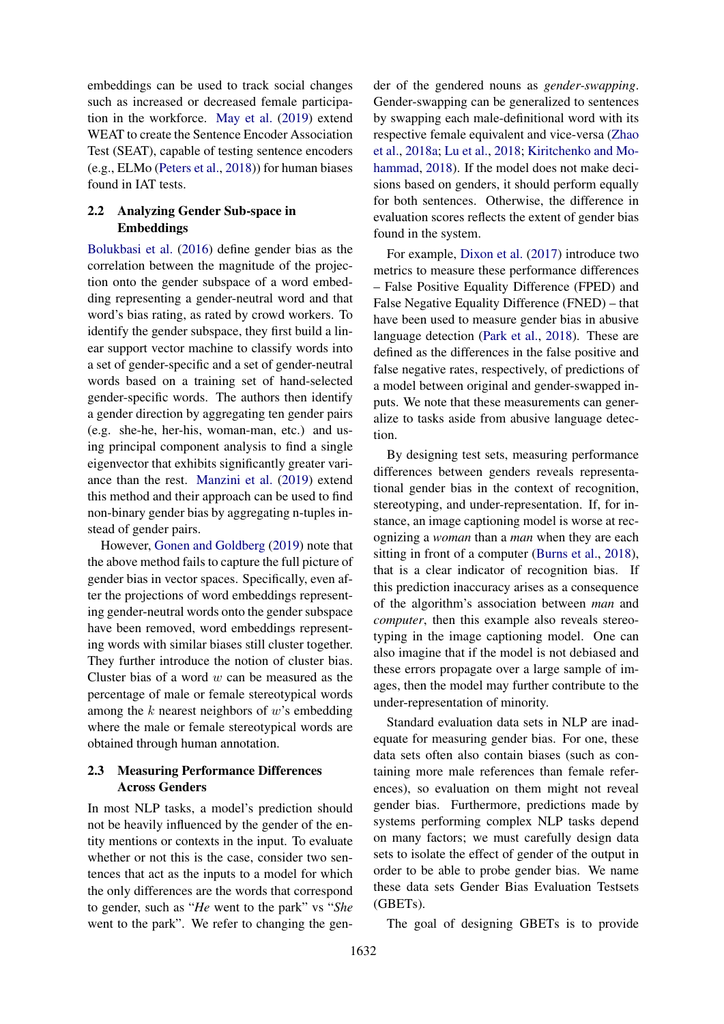embeddings can be used to track social changes such as increased or decreased female participation in the workforce. [May et al.](#page-9-5) [\(2019\)](#page-9-5) extend WEAT to create the Sentence Encoder Association Test (SEAT), capable of testing sentence encoders (e.g., ELMo [\(Peters et al.,](#page-10-3) [2018\)](#page-10-3)) for human biases found in IAT tests.

# 2.2 Analyzing Gender Sub-space in Embeddings

[Bolukbasi et al.](#page-8-0) [\(2016\)](#page-8-0) define gender bias as the correlation between the magnitude of the projection onto the gender subspace of a word embedding representing a gender-neutral word and that word's bias rating, as rated by crowd workers. To identify the gender subspace, they first build a linear support vector machine to classify words into a set of gender-specific and a set of gender-neutral words based on a training set of hand-selected gender-specific words. The authors then identify a gender direction by aggregating ten gender pairs (e.g. she-he, her-his, woman-man, etc.) and using principal component analysis to find a single eigenvector that exhibits significantly greater variance than the rest. [Manzini et al.](#page-9-6) [\(2019\)](#page-9-6) extend this method and their approach can be used to find non-binary gender bias by aggregating n-tuples instead of gender pairs.

However, [Gonen and Goldberg](#page-8-6) [\(2019\)](#page-8-6) note that the above method fails to capture the full picture of gender bias in vector spaces. Specifically, even after the projections of word embeddings representing gender-neutral words onto the gender subspace have been removed, word embeddings representing words with similar biases still cluster together. They further introduce the notion of cluster bias. Cluster bias of a word  $w$  can be measured as the percentage of male or female stereotypical words among the  $k$  nearest neighbors of  $w$ 's embedding where the male or female stereotypical words are obtained through human annotation.

# <span id="page-2-0"></span>2.3 Measuring Performance Differences Across Genders

In most NLP tasks, a model's prediction should not be heavily influenced by the gender of the entity mentions or contexts in the input. To evaluate whether or not this is the case, consider two sentences that act as the inputs to a model for which the only differences are the words that correspond to gender, such as "*He* went to the park" vs "*She* went to the park". We refer to changing the gen-

der of the gendered nouns as *gender-swapping*. Gender-swapping can be generalized to sentences by swapping each male-definitional word with its respective female equivalent and vice-versa [\(Zhao](#page-10-0) [et al.,](#page-10-0) [2018a;](#page-10-0) [Lu et al.,](#page-9-2) [2018;](#page-9-2) [Kiritchenko and Mo](#page-9-7)[hammad,](#page-9-7) [2018\)](#page-9-7). If the model does not make decisions based on genders, it should perform equally for both sentences. Otherwise, the difference in evaluation scores reflects the extent of gender bias found in the system.

For example, [Dixon et al.](#page-8-7) [\(2017\)](#page-8-7) introduce two metrics to measure these performance differences – False Positive Equality Difference (FPED) and False Negative Equality Difference (FNED) – that have been used to measure gender bias in abusive language detection [\(Park et al.,](#page-9-1) [2018\)](#page-9-1). These are defined as the differences in the false positive and false negative rates, respectively, of predictions of a model between original and gender-swapped inputs. We note that these measurements can generalize to tasks aside from abusive language detection.

By designing test sets, measuring performance differences between genders reveals representational gender bias in the context of recognition, stereotyping, and under-representation. If, for instance, an image captioning model is worse at recognizing a *woman* than a *man* when they are each sitting in front of a computer [\(Burns et al.,](#page-8-5) [2018\)](#page-8-5), that is a clear indicator of recognition bias. If this prediction inaccuracy arises as a consequence of the algorithm's association between *man* and *computer*, then this example also reveals stereotyping in the image captioning model. One can also imagine that if the model is not debiased and these errors propagate over a large sample of images, then the model may further contribute to the under-representation of minority.

Standard evaluation data sets in NLP are inadequate for measuring gender bias. For one, these data sets often also contain biases (such as containing more male references than female references), so evaluation on them might not reveal gender bias. Furthermore, predictions made by systems performing complex NLP tasks depend on many factors; we must carefully design data sets to isolate the effect of gender of the output in order to be able to probe gender bias. We name these data sets Gender Bias Evaluation Testsets (GBETs).

The goal of designing GBETs is to provide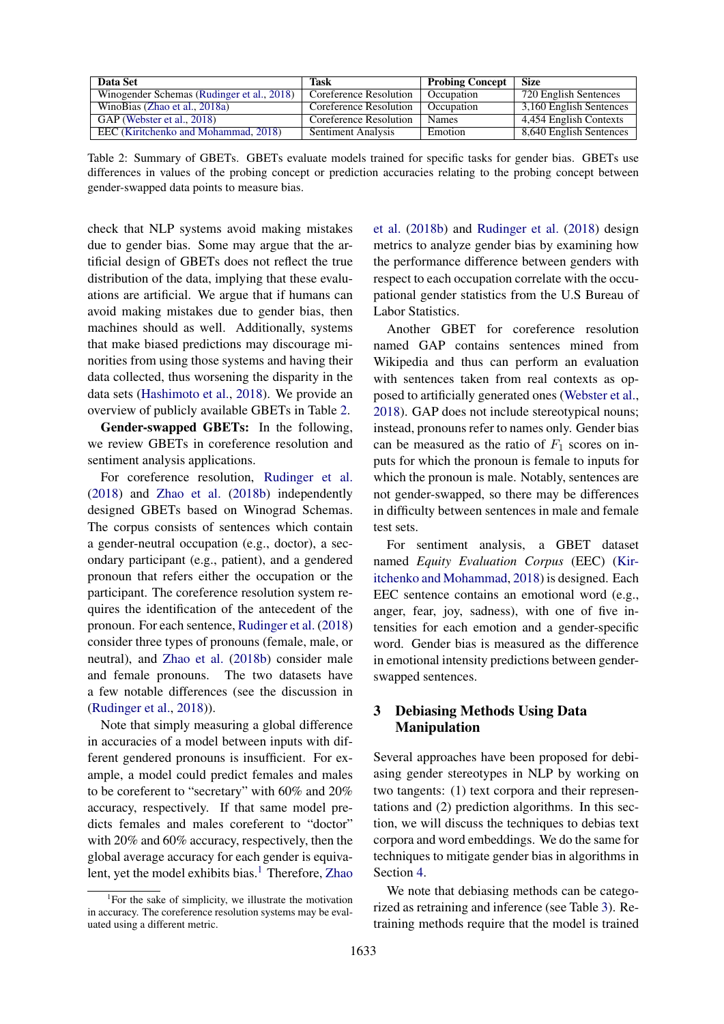<span id="page-3-0"></span>

| Data Set                                   | Task                   | <b>Probing Concept</b> | <b>Size</b>             |
|--------------------------------------------|------------------------|------------------------|-------------------------|
| Winogender Schemas (Rudinger et al., 2018) | Coreference Resolution | Occupation             | 720 English Sentences   |
| WinoBias (Zhao et al., 2018a)              | Coreference Resolution | Occupation             | 3,160 English Sentences |
| GAP (Webster et al., 2018)                 | Coreference Resolution | <b>Names</b>           | 4,454 English Contexts  |
| EEC (Kiritchenko and Mohammad, 2018)       | Sentiment Analysis     | Emotion                | 8,640 English Sentences |

Table 2: Summary of GBETs. GBETs evaluate models trained for specific tasks for gender bias. GBETs use differences in values of the probing concept or prediction accuracies relating to the probing concept between gender-swapped data points to measure bias.

check that NLP systems avoid making mistakes due to gender bias. Some may argue that the artificial design of GBETs does not reflect the true distribution of the data, implying that these evaluations are artificial. We argue that if humans can avoid making mistakes due to gender bias, then machines should as well. Additionally, systems that make biased predictions may discourage minorities from using those systems and having their data collected, thus worsening the disparity in the data sets [\(Hashimoto et al.,](#page-9-8) [2018\)](#page-9-8). We provide an overview of publicly available GBETs in Table [2.](#page-3-0)

Gender-swapped GBETs: In the following, we review GBETs in coreference resolution and sentiment analysis applications.

For coreference resolution, [Rudinger et al.](#page-10-4) [\(2018\)](#page-10-4) and [Zhao et al.](#page-10-6) [\(2018b\)](#page-10-6) independently designed GBETs based on Winograd Schemas. The corpus consists of sentences which contain a gender-neutral occupation (e.g., doctor), a secondary participant (e.g., patient), and a gendered pronoun that refers either the occupation or the participant. The coreference resolution system requires the identification of the antecedent of the pronoun. For each sentence, [Rudinger et al.](#page-10-4) [\(2018\)](#page-10-4) consider three types of pronouns (female, male, or neutral), and [Zhao et al.](#page-10-6) [\(2018b\)](#page-10-6) consider male and female pronouns. The two datasets have a few notable differences (see the discussion in [\(Rudinger et al.,](#page-10-4) [2018\)](#page-10-4)).

Note that simply measuring a global difference in accuracies of a model between inputs with different gendered pronouns is insufficient. For example, a model could predict females and males to be coreferent to "secretary" with 60% and 20% accuracy, respectively. If that same model predicts females and males coreferent to "doctor" with 20% and 60% accuracy, respectively, then the global average accuracy for each gender is equiva-lent, yet the model exhibits bias.<sup>[1](#page-0-1)</sup> Therefore, [Zhao](#page-10-6)

1 [For the sake of simplicity, we illustrate the motivation](#page-10-6) [in accuracy. The coreference resolution systems may be eval](#page-10-6)[uated using a different metric.](#page-10-6)

[et al.](#page-10-6) [\(2018b\)](#page-10-6) and [Rudinger et al.](#page-10-4) [\(2018\)](#page-10-4) design metrics to analyze gender bias by examining how the performance difference between genders with respect to each occupation correlate with the occupational gender statistics from the U.S Bureau of Labor Statistics.

Another GBET for coreference resolution named GAP contains sentences mined from Wikipedia and thus can perform an evaluation with sentences taken from real contexts as opposed to artificially generated ones [\(Webster et al.,](#page-10-5) [2018\)](#page-10-5). GAP does not include stereotypical nouns; instead, pronouns refer to names only. Gender bias can be measured as the ratio of  $F_1$  scores on inputs for which the pronoun is female to inputs for which the pronoun is male. Notably, sentences are not gender-swapped, so there may be differences in difficulty between sentences in male and female test sets.

For sentiment analysis, a GBET dataset named *Equity Evaluation Corpus* (EEC) [\(Kir](#page-9-7)[itchenko and Mohammad,](#page-9-7) [2018\)](#page-9-7) is designed. Each EEC sentence contains an emotional word (e.g., anger, fear, joy, sadness), with one of five intensities for each emotion and a gender-specific word. Gender bias is measured as the difference in emotional intensity predictions between genderswapped sentences.

# 3 Debiasing Methods Using Data Manipulation

Several approaches have been proposed for debiasing gender stereotypes in NLP by working on two tangents: (1) text corpora and their representations and (2) prediction algorithms. In this section, we will discuss the techniques to debias text corpora and word embeddings. We do the same for techniques to mitigate gender bias in algorithms in Section [4.](#page-6-0)

We note that debiasing methods can be categorized as retraining and inference (see Table [3\)](#page-4-0). Retraining methods require that the model is trained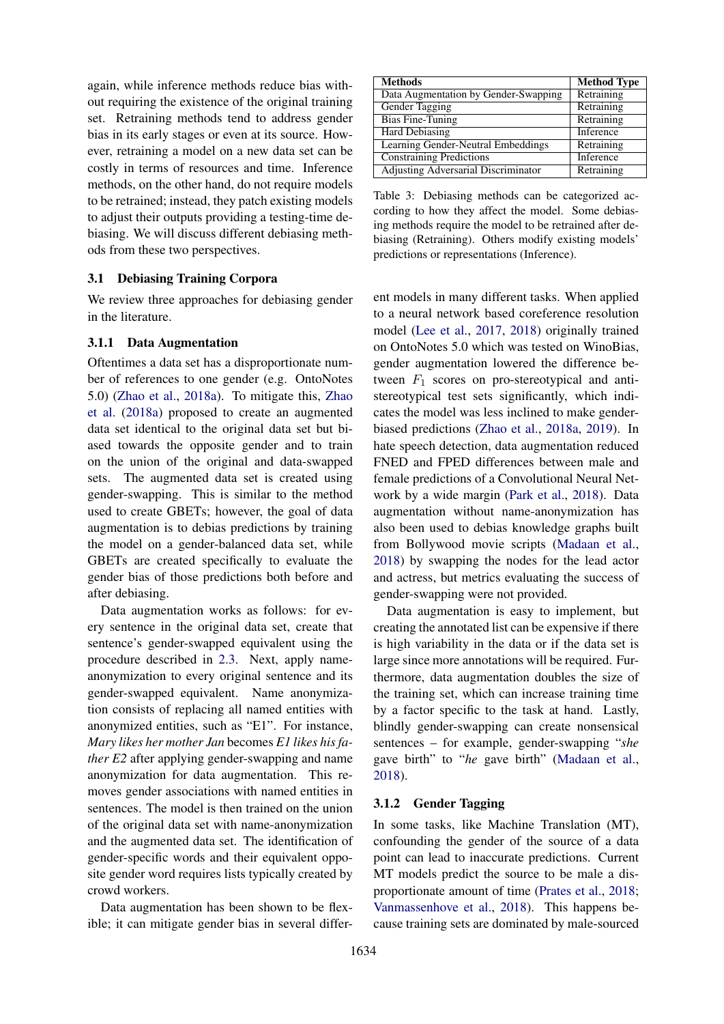again, while inference methods reduce bias without requiring the existence of the original training set. Retraining methods tend to address gender bias in its early stages or even at its source. However, retraining a model on a new data set can be costly in terms of resources and time. Inference methods, on the other hand, do not require models to be retrained; instead, they patch existing models to adjust their outputs providing a testing-time debiasing. We will discuss different debiasing methods from these two perspectives.

#### 3.1 Debiasing Training Corpora

We review three approaches for debiasing gender in the literature.

#### 3.1.1 Data Augmentation

Oftentimes a data set has a disproportionate number of references to one gender (e.g. OntoNotes 5.0) [\(Zhao et al.,](#page-10-0) [2018a\)](#page-10-0). To mitigate this, [Zhao](#page-10-0) [et al.](#page-10-0) [\(2018a\)](#page-10-0) proposed to create an augmented data set identical to the original data set but biased towards the opposite gender and to train on the union of the original and data-swapped sets. The augmented data set is created using gender-swapping. This is similar to the method used to create GBETs; however, the goal of data augmentation is to debias predictions by training the model on a gender-balanced data set, while GBETs are created specifically to evaluate the gender bias of those predictions both before and after debiasing.

Data augmentation works as follows: for every sentence in the original data set, create that sentence's gender-swapped equivalent using the procedure described in [2.3.](#page-2-0) Next, apply nameanonymization to every original sentence and its gender-swapped equivalent. Name anonymization consists of replacing all named entities with anonymized entities, such as "E1". For instance, *Mary likes her mother Jan* becomes *E1 likes his father E2* after applying gender-swapping and name anonymization for data augmentation. This removes gender associations with named entities in sentences. The model is then trained on the union of the original data set with name-anonymization and the augmented data set. The identification of gender-specific words and their equivalent opposite gender word requires lists typically created by crowd workers.

Data augmentation has been shown to be flexible; it can mitigate gender bias in several differ-

<span id="page-4-0"></span>

| <b>Methods</b>                             | <b>Method Type</b> |
|--------------------------------------------|--------------------|
| Data Augmentation by Gender-Swapping       | Retraining         |
| Gender Tagging                             | Retraining         |
| <b>Bias Fine-Tuning</b>                    | Retraining         |
| <b>Hard Debiasing</b>                      | Inference          |
| Learning Gender-Neutral Embeddings         | Retraining         |
| <b>Constraining Predictions</b>            | Inference          |
| <b>Adjusting Adversarial Discriminator</b> | Retraining         |

Table 3: Debiasing methods can be categorized according to how they affect the model. Some debiasing methods require the model to be retrained after debiasing (Retraining). Others modify existing models' predictions or representations (Inference).

ent models in many different tasks. When applied to a neural network based coreference resolution model [\(Lee et al.,](#page-9-9) [2017,](#page-9-9) [2018\)](#page-9-10) originally trained on OntoNotes 5.0 which was tested on WinoBias, gender augmentation lowered the difference between  $F_1$  scores on pro-stereotypical and antistereotypical test sets significantly, which indicates the model was less inclined to make genderbiased predictions [\(Zhao et al.,](#page-10-0) [2018a,](#page-10-0) [2019\)](#page-10-7). In hate speech detection, data augmentation reduced FNED and FPED differences between male and female predictions of a Convolutional Neural Network by a wide margin [\(Park et al.,](#page-9-1) [2018\)](#page-9-1). Data augmentation without name-anonymization has also been used to debias knowledge graphs built from Bollywood movie scripts [\(Madaan et al.,](#page-9-11) [2018\)](#page-9-11) by swapping the nodes for the lead actor and actress, but metrics evaluating the success of gender-swapping were not provided.

Data augmentation is easy to implement, but creating the annotated list can be expensive if there is high variability in the data or if the data set is large since more annotations will be required. Furthermore, data augmentation doubles the size of the training set, which can increase training time by a factor specific to the task at hand. Lastly, blindly gender-swapping can create nonsensical sentences – for example, gender-swapping "*she* gave birth" to "*he* gave birth" [\(Madaan et al.,](#page-9-11) [2018\)](#page-9-11).

#### 3.1.2 Gender Tagging

In some tasks, like Machine Translation (MT), confounding the gender of the source of a data point can lead to inaccurate predictions. Current MT models predict the source to be male a disproportionate amount of time [\(Prates et al.,](#page-10-8) [2018;](#page-10-8) [Vanmassenhove et al.,](#page-10-9) [2018\)](#page-10-9). This happens because training sets are dominated by male-sourced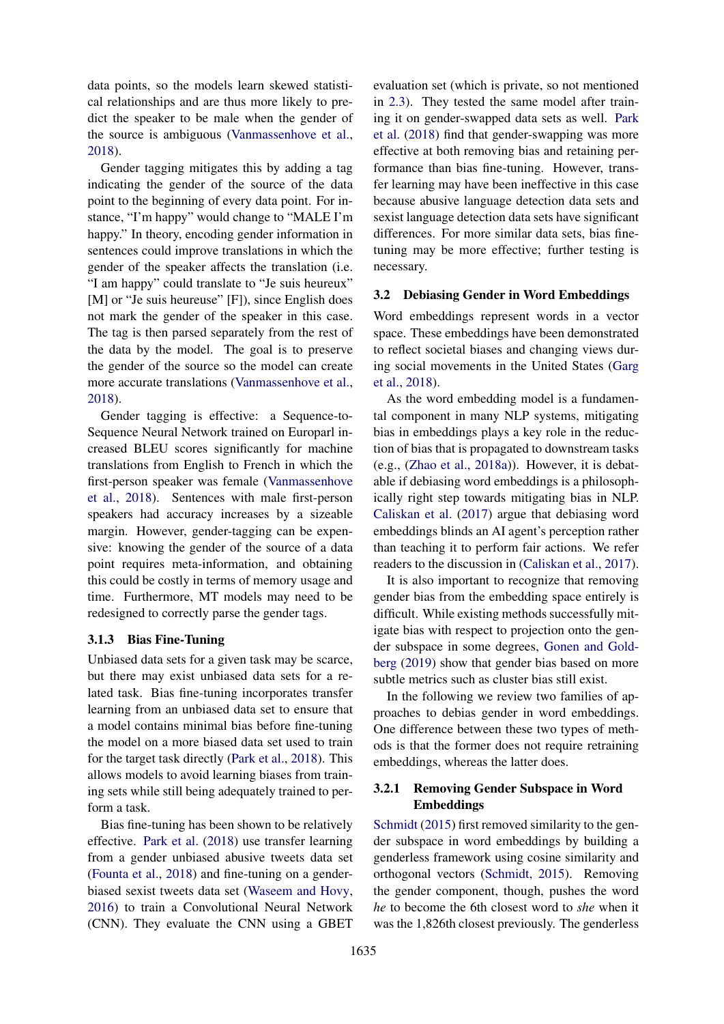data points, so the models learn skewed statistical relationships and are thus more likely to predict the speaker to be male when the gender of the source is ambiguous [\(Vanmassenhove et al.,](#page-10-9) [2018\)](#page-10-9).

Gender tagging mitigates this by adding a tag indicating the gender of the source of the data point to the beginning of every data point. For instance, "I'm happy" would change to "MALE I'm happy." In theory, encoding gender information in sentences could improve translations in which the gender of the speaker affects the translation (i.e. "I am happy" could translate to "Je suis heureux" [M] or "Je suis heureuse" [F]), since English does not mark the gender of the speaker in this case. The tag is then parsed separately from the rest of the data by the model. The goal is to preserve the gender of the source so the model can create more accurate translations [\(Vanmassenhove et al.,](#page-10-9) [2018\)](#page-10-9).

Gender tagging is effective: a Sequence-to-Sequence Neural Network trained on Europarl increased BLEU scores significantly for machine translations from English to French in which the first-person speaker was female [\(Vanmassenhove](#page-10-9) [et al.,](#page-10-9) [2018\)](#page-10-9). Sentences with male first-person speakers had accuracy increases by a sizeable margin. However, gender-tagging can be expensive: knowing the gender of the source of a data point requires meta-information, and obtaining this could be costly in terms of memory usage and time. Furthermore, MT models may need to be redesigned to correctly parse the gender tags.

#### 3.1.3 Bias Fine-Tuning

Unbiased data sets for a given task may be scarce, but there may exist unbiased data sets for a related task. Bias fine-tuning incorporates transfer learning from an unbiased data set to ensure that a model contains minimal bias before fine-tuning the model on a more biased data set used to train for the target task directly [\(Park et al.,](#page-9-1) [2018\)](#page-9-1). This allows models to avoid learning biases from training sets while still being adequately trained to perform a task.

Bias fine-tuning has been shown to be relatively effective. [Park et al.](#page-9-1) [\(2018\)](#page-9-1) use transfer learning from a gender unbiased abusive tweets data set [\(Founta et al.,](#page-8-8) [2018\)](#page-8-8) and fine-tuning on a genderbiased sexist tweets data set [\(Waseem and Hovy,](#page-10-10) [2016\)](#page-10-10) to train a Convolutional Neural Network (CNN). They evaluate the CNN using a GBET evaluation set (which is private, so not mentioned in [2.3\)](#page-2-0). They tested the same model after training it on gender-swapped data sets as well. [Park](#page-9-1) [et al.](#page-9-1) [\(2018\)](#page-9-1) find that gender-swapping was more effective at both removing bias and retaining performance than bias fine-tuning. However, transfer learning may have been ineffective in this case because abusive language detection data sets and sexist language detection data sets have significant differences. For more similar data sets, bias finetuning may be more effective; further testing is necessary.

#### 3.2 Debiasing Gender in Word Embeddings

Word embeddings represent words in a vector space. These embeddings have been demonstrated to reflect societal biases and changing views during social movements in the United States [\(Garg](#page-8-2) [et al.,](#page-8-2) [2018\)](#page-8-2).

As the word embedding model is a fundamental component in many NLP systems, mitigating bias in embeddings plays a key role in the reduction of bias that is propagated to downstream tasks (e.g., [\(Zhao et al.,](#page-10-0) [2018a\)](#page-10-0)). However, it is debatable if debiasing word embeddings is a philosophically right step towards mitigating bias in NLP. [Caliskan et al.](#page-8-1) [\(2017\)](#page-8-1) argue that debiasing word embeddings blinds an AI agent's perception rather than teaching it to perform fair actions. We refer readers to the discussion in [\(Caliskan et al.,](#page-8-1) [2017\)](#page-8-1).

It is also important to recognize that removing gender bias from the embedding space entirely is difficult. While existing methods successfully mitigate bias with respect to projection onto the gender subspace in some degrees, [Gonen and Gold](#page-8-6)[berg](#page-8-6) [\(2019\)](#page-8-6) show that gender bias based on more subtle metrics such as cluster bias still exist.

In the following we review two families of approaches to debias gender in word embeddings. One difference between these two types of methods is that the former does not require retraining embeddings, whereas the latter does.

#### 3.2.1 Removing Gender Subspace in Word Embeddings

[Schmidt](#page-10-11) [\(2015\)](#page-10-11) first removed similarity to the gender subspace in word embeddings by building a genderless framework using cosine similarity and orthogonal vectors [\(Schmidt,](#page-10-11) [2015\)](#page-10-11). Removing the gender component, though, pushes the word *he* to become the 6th closest word to *she* when it was the 1,826th closest previously. The genderless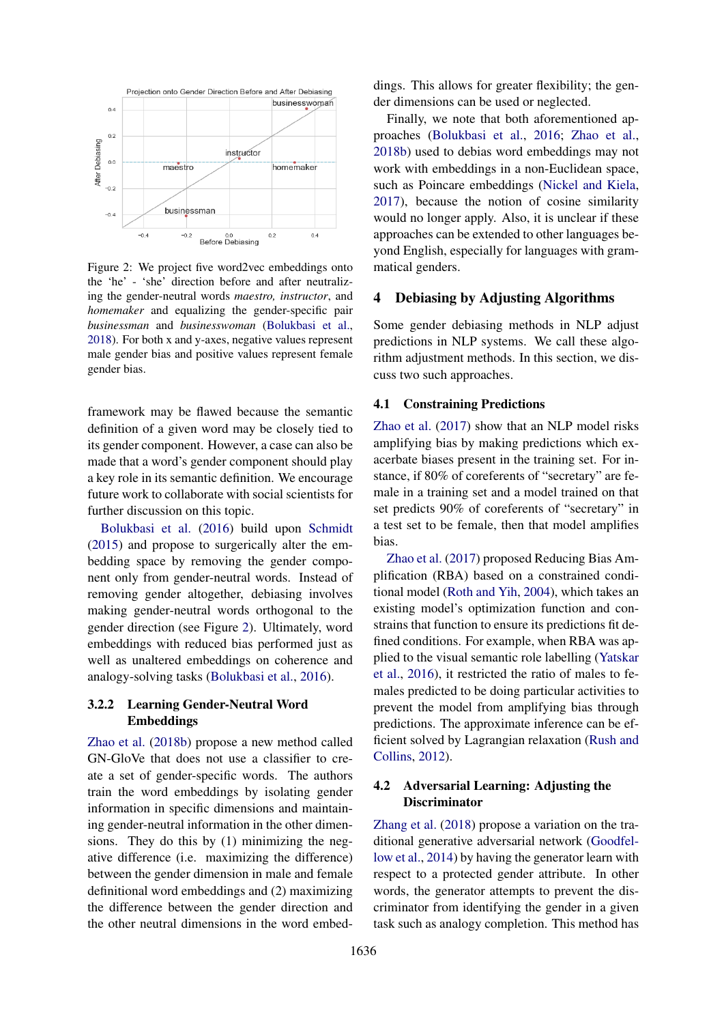<span id="page-6-1"></span>

Figure 2: We project five word2vec embeddings onto the 'he' - 'she' direction before and after neutralizing the gender-neutral words *maestro, instructor*, and *homemaker* and equalizing the gender-specific pair *businessman* and *businesswoman* [\(Bolukbasi et al.,](#page-8-9) [2018\)](#page-8-9). For both x and y-axes, negative values represent male gender bias and positive values represent female gender bias.

framework may be flawed because the semantic definition of a given word may be closely tied to its gender component. However, a case can also be made that a word's gender component should play a key role in its semantic definition. We encourage future work to collaborate with social scientists for further discussion on this topic.

[Bolukbasi et al.](#page-8-0) [\(2016\)](#page-8-0) build upon [Schmidt](#page-10-11) [\(2015\)](#page-10-11) and propose to surgerically alter the embedding space by removing the gender component only from gender-neutral words. Instead of removing gender altogether, debiasing involves making gender-neutral words orthogonal to the gender direction (see Figure [2\)](#page-6-1). Ultimately, word embeddings with reduced bias performed just as well as unaltered embeddings on coherence and analogy-solving tasks [\(Bolukbasi et al.,](#page-8-0) [2016\)](#page-8-0).

#### 3.2.2 Learning Gender-Neutral Word Embeddings

[Zhao et al.](#page-10-6) [\(2018b\)](#page-10-6) propose a new method called GN-GloVe that does not use a classifier to create a set of gender-specific words. The authors train the word embeddings by isolating gender information in specific dimensions and maintaining gender-neutral information in the other dimensions. They do this by (1) minimizing the negative difference (i.e. maximizing the difference) between the gender dimension in male and female definitional word embeddings and (2) maximizing the difference between the gender direction and the other neutral dimensions in the word embeddings. This allows for greater flexibility; the gender dimensions can be used or neglected.

Finally, we note that both aforementioned approaches [\(Bolukbasi et al.,](#page-8-0) [2016;](#page-8-0) [Zhao et al.,](#page-10-6) [2018b\)](#page-10-6) used to debias word embeddings may not work with embeddings in a non-Euclidean space, such as Poincare embeddings [\(Nickel and Kiela,](#page-9-12) [2017\)](#page-9-12), because the notion of cosine similarity would no longer apply. Also, it is unclear if these approaches can be extended to other languages beyond English, especially for languages with grammatical genders.

## <span id="page-6-0"></span>4 Debiasing by Adjusting Algorithms

Some gender debiasing methods in NLP adjust predictions in NLP systems. We call these algorithm adjustment methods. In this section, we discuss two such approaches.

#### 4.1 Constraining Predictions

[Zhao et al.](#page-10-1) [\(2017\)](#page-10-1) show that an NLP model risks amplifying bias by making predictions which exacerbate biases present in the training set. For instance, if 80% of coreferents of "secretary" are female in a training set and a model trained on that set predicts 90% of coreferents of "secretary" in a test set to be female, then that model amplifies bias.

[Zhao et al.](#page-10-1) [\(2017\)](#page-10-1) proposed Reducing Bias Amplification (RBA) based on a constrained conditional model [\(Roth and Yih,](#page-10-12) [2004\)](#page-10-12), which takes an existing model's optimization function and constrains that function to ensure its predictions fit defined conditions. For example, when RBA was applied to the visual semantic role labelling [\(Yatskar](#page-10-13) [et al.,](#page-10-13) [2016\)](#page-10-13), it restricted the ratio of males to females predicted to be doing particular activities to prevent the model from amplifying bias through predictions. The approximate inference can be efficient solved by Lagrangian relaxation [\(Rush and](#page-10-14) [Collins,](#page-10-14) [2012\)](#page-10-14).

# 4.2 Adversarial Learning: Adjusting the Discriminator

[Zhang et al.](#page-10-15) [\(2018\)](#page-10-15) propose a variation on the traditional generative adversarial network [\(Goodfel](#page-8-10)[low et al.,](#page-8-10) [2014\)](#page-8-10) by having the generator learn with respect to a protected gender attribute. In other words, the generator attempts to prevent the discriminator from identifying the gender in a given task such as analogy completion. This method has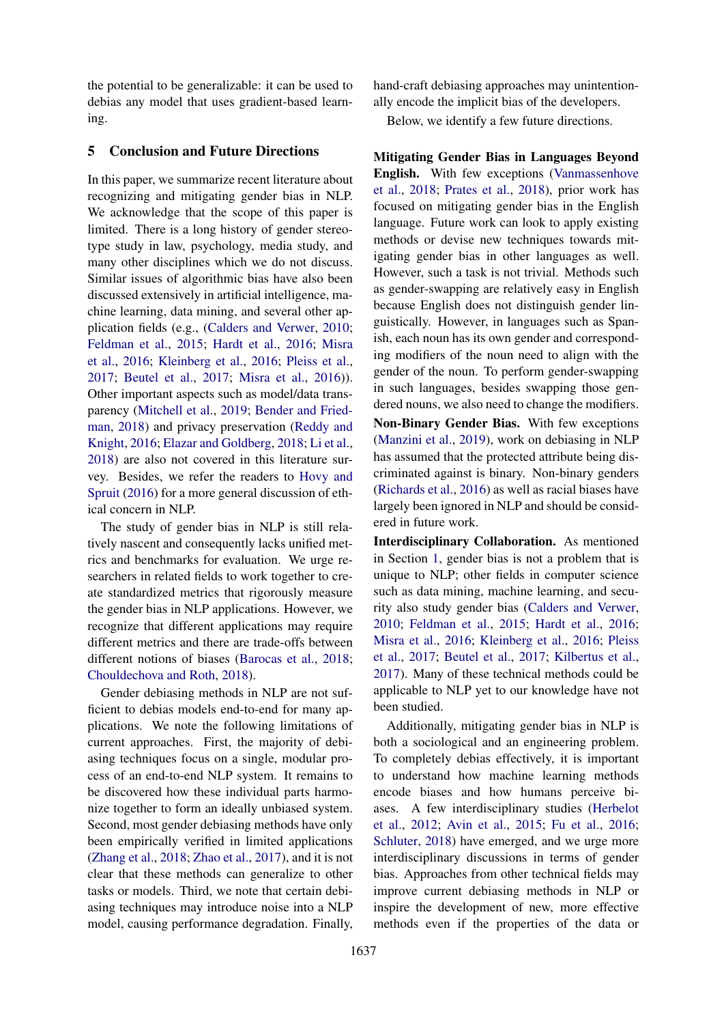the potential to be generalizable: it can be used to debias any model that uses gradient-based learning.

## 5 Conclusion and Future Directions

In this paper, we summarize recent literature about recognizing and mitigating gender bias in NLP. We acknowledge that the scope of this paper is limited. There is a long history of gender stereotype study in law, psychology, media study, and many other disciplines which we do not discuss. Similar issues of algorithmic bias have also been discussed extensively in artificial intelligence, machine learning, data mining, and several other application fields (e.g., [\(Calders and Verwer,](#page-8-11) [2010;](#page-8-11) [Feldman et al.,](#page-8-12) [2015;](#page-8-12) [Hardt et al.,](#page-9-13) [2016;](#page-9-13) [Misra](#page-9-14) [et al.,](#page-9-14) [2016;](#page-9-14) [Kleinberg et al.,](#page-9-15) [2016;](#page-9-15) [Pleiss et al.,](#page-10-16) [2017;](#page-10-16) [Beutel et al.,](#page-8-13) [2017;](#page-8-13) [Misra et al.,](#page-9-14) [2016\)](#page-9-14)). Other important aspects such as model/data transparency [\(Mitchell et al.,](#page-9-16) [2019;](#page-9-16) [Bender and Fried](#page-8-14)[man,](#page-8-14) [2018\)](#page-8-14) and privacy preservation [\(Reddy and](#page-10-17) [Knight,](#page-10-17) [2016;](#page-10-17) [Elazar and Goldberg,](#page-8-15) [2018;](#page-8-15) [Li et al.,](#page-9-17) [2018\)](#page-9-17) are also not covered in this literature survey. Besides, we refer the readers to [Hovy and](#page-9-18) [Spruit](#page-9-18) [\(2016\)](#page-9-18) for a more general discussion of ethical concern in NLP.

The study of gender bias in NLP is still relatively nascent and consequently lacks unified metrics and benchmarks for evaluation. We urge researchers in related fields to work together to create standardized metrics that rigorously measure the gender bias in NLP applications. However, we recognize that different applications may require different metrics and there are trade-offs between different notions of biases [\(Barocas et al.,](#page-8-16) [2018;](#page-8-16) [Chouldechova and Roth,](#page-8-17) [2018\)](#page-8-17).

Gender debiasing methods in NLP are not sufficient to debias models end-to-end for many applications. We note the following limitations of current approaches. First, the majority of debiasing techniques focus on a single, modular process of an end-to-end NLP system. It remains to be discovered how these individual parts harmonize together to form an ideally unbiased system. Second, most gender debiasing methods have only been empirically verified in limited applications [\(Zhang et al.,](#page-10-15) [2018;](#page-10-15) [Zhao et al.,](#page-10-1) [2017\)](#page-10-1), and it is not clear that these methods can generalize to other tasks or models. Third, we note that certain debiasing techniques may introduce noise into a NLP model, causing performance degradation. Finally,

hand-craft debiasing approaches may unintentionally encode the implicit bias of the developers.

Below, we identify a few future directions.

Mitigating Gender Bias in Languages Beyond English. With few exceptions [\(Vanmassenhove](#page-10-9) [et al.,](#page-10-9) [2018;](#page-10-9) [Prates et al.,](#page-10-8) [2018\)](#page-10-8), prior work has focused on mitigating gender bias in the English language. Future work can look to apply existing methods or devise new techniques towards mitigating gender bias in other languages as well. However, such a task is not trivial. Methods such as gender-swapping are relatively easy in English because English does not distinguish gender linguistically. However, in languages such as Spanish, each noun has its own gender and corresponding modifiers of the noun need to align with the gender of the noun. To perform gender-swapping in such languages, besides swapping those gendered nouns, we also need to change the modifiers. Non-Binary Gender Bias. With few exceptions

[\(Manzini et al.,](#page-9-6) [2019\)](#page-9-6), work on debiasing in NLP has assumed that the protected attribute being discriminated against is binary. Non-binary genders [\(Richards et al.,](#page-10-18) [2016\)](#page-10-18) as well as racial biases have largely been ignored in NLP and should be considered in future work.

Interdisciplinary Collaboration. As mentioned in Section [1,](#page-0-2) gender bias is not a problem that is unique to NLP; other fields in computer science such as data mining, machine learning, and security also study gender bias [\(Calders and Verwer,](#page-8-11) [2010;](#page-8-11) [Feldman et al.,](#page-8-12) [2015;](#page-8-12) [Hardt et al.,](#page-9-13) [2016;](#page-9-13) [Misra et al.,](#page-9-14) [2016;](#page-9-14) [Kleinberg et al.,](#page-9-15) [2016;](#page-9-15) [Pleiss](#page-10-16) [et al.,](#page-10-16) [2017;](#page-10-16) [Beutel et al.,](#page-8-13) [2017;](#page-8-13) [Kilbertus et al.,](#page-9-19) [2017\)](#page-9-19). Many of these technical methods could be applicable to NLP yet to our knowledge have not been studied.

Additionally, mitigating gender bias in NLP is both a sociological and an engineering problem. To completely debias effectively, it is important to understand how machine learning methods encode biases and how humans perceive biases. A few interdisciplinary studies [\(Herbelot](#page-9-20) [et al.,](#page-9-20) [2012;](#page-9-20) [Avin et al.,](#page-8-18) [2015;](#page-8-18) [Fu et al.,](#page-8-19) [2016;](#page-8-19) [Schluter,](#page-10-19) [2018\)](#page-10-19) have emerged, and we urge more interdisciplinary discussions in terms of gender bias. Approaches from other technical fields may improve current debiasing methods in NLP or inspire the development of new, more effective methods even if the properties of the data or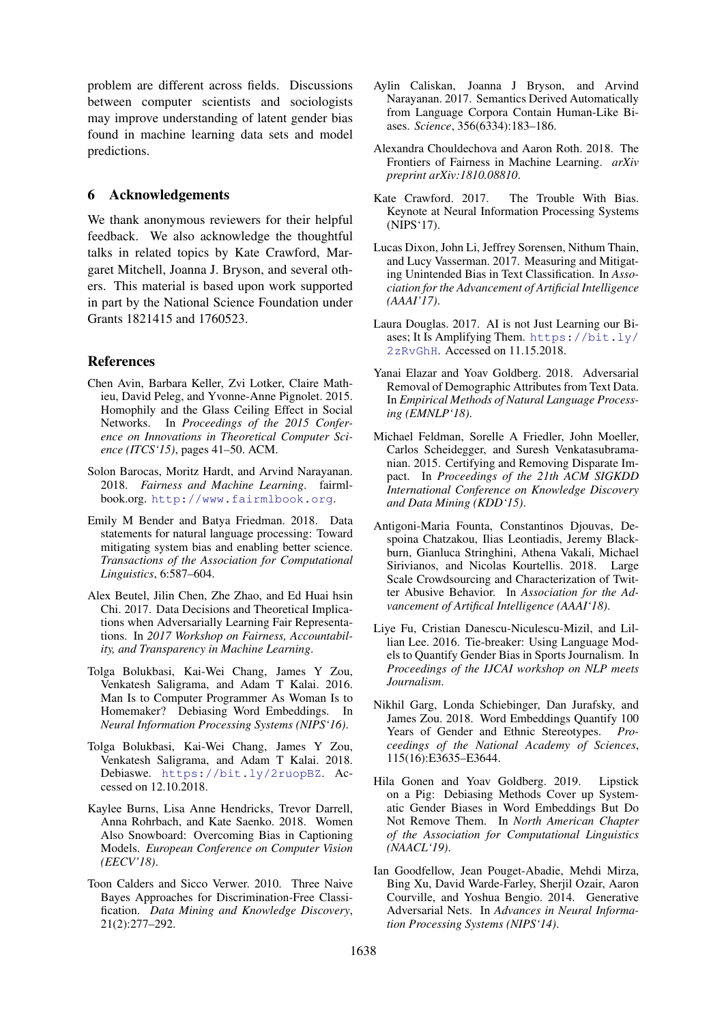problem are different across fields. Discussions between computer scientists and sociologists may improve understanding of latent gender bias found in machine learning data sets and model predictions.

## 6 Acknowledgements

We thank anonymous reviewers for their helpful feedback. We also acknowledge the thoughtful talks in related topics by Kate Crawford, Margaret Mitchell, Joanna J. Bryson, and several others. This material is based upon work supported in part by the National Science Foundation under Grants 1821415 and 1760523.

## References

- <span id="page-8-18"></span>Chen Avin, Barbara Keller, Zvi Lotker, Claire Mathieu, David Peleg, and Yvonne-Anne Pignolet. 2015. Homophily and the Glass Ceiling Effect in Social Networks. In *Proceedings of the 2015 Conference on Innovations in Theoretical Computer Science (ITCS'15)*, pages 41–50. ACM.
- <span id="page-8-16"></span>Solon Barocas, Moritz Hardt, and Arvind Narayanan. 2018. *Fairness and Machine Learning*. fairmlbook.org. <http://www.fairmlbook.org>.
- <span id="page-8-14"></span>Emily M Bender and Batya Friedman. 2018. Data statements for natural language processing: Toward mitigating system bias and enabling better science. *Transactions of the Association for Computational Linguistics*, 6:587–604.
- <span id="page-8-13"></span>Alex Beutel, Jilin Chen, Zhe Zhao, and Ed Huai hsin Chi. 2017. Data Decisions and Theoretical Implications when Adversarially Learning Fair Representations. In *2017 Workshop on Fairness, Accountability, and Transparency in Machine Learning*.
- <span id="page-8-0"></span>Tolga Bolukbasi, Kai-Wei Chang, James Y Zou, Venkatesh Saligrama, and Adam T Kalai. 2016. Man Is to Computer Programmer As Woman Is to Homemaker? Debiasing Word Embeddings. In *Neural Information Processing Systems (NIPS'16)*.
- <span id="page-8-9"></span>Tolga Bolukbasi, Kai-Wei Chang, James Y Zou, Venkatesh Saligrama, and Adam T Kalai. 2018. Debiaswe. <https://bit.ly/2ruopBZ>. Accessed on 12.10.2018.
- <span id="page-8-5"></span>Kaylee Burns, Lisa Anne Hendricks, Trevor Darrell, Anna Rohrbach, and Kate Saenko. 2018. Women Also Snowboard: Overcoming Bias in Captioning Models. *European Conference on Computer Vision (EECV'18)*.
- <span id="page-8-11"></span>Toon Calders and Sicco Verwer. 2010. Three Naive Bayes Approaches for Discrimination-Free Classification. *Data Mining and Knowledge Discovery*, 21(2):277–292.
- <span id="page-8-1"></span>Aylin Caliskan, Joanna J Bryson, and Arvind Narayanan. 2017. Semantics Derived Automatically from Language Corpora Contain Human-Like Biases. *Science*, 356(6334):183–186.
- <span id="page-8-17"></span>Alexandra Chouldechova and Aaron Roth. 2018. The Frontiers of Fairness in Machine Learning. *arXiv preprint arXiv:1810.08810*.
- <span id="page-8-3"></span>Kate Crawford. 2017. The Trouble With Bias. Keynote at Neural Information Processing Systems (NIPS'17).
- <span id="page-8-7"></span>Lucas Dixon, John Li, Jeffrey Sorensen, Nithum Thain, and Lucy Vasserman. 2017. Measuring and Mitigating Unintended Bias in Text Classification. In *Association for the Advancement of Artificial Intelligence (AAAI'17)*.
- <span id="page-8-4"></span>Laura Douglas. 2017. AI is not Just Learning our Biases; It Is Amplifying Them. [https://bit.ly/](https://bit.ly/2zRvGhH) [2zRvGhH](https://bit.ly/2zRvGhH). Accessed on 11.15.2018.
- <span id="page-8-15"></span>Yanai Elazar and Yoav Goldberg. 2018. Adversarial Removal of Demographic Attributes from Text Data. In *Empirical Methods of Natural Language Processing (EMNLP'18)*.
- <span id="page-8-12"></span>Michael Feldman, Sorelle A Friedler, John Moeller, Carlos Scheidegger, and Suresh Venkatasubramanian. 2015. Certifying and Removing Disparate Impact. In *Proceedings of the 21th ACM SIGKDD International Conference on Knowledge Discovery and Data Mining (KDD'15)*.
- <span id="page-8-8"></span>Antigoni-Maria Founta, Constantinos Djouvas, Despoina Chatzakou, Ilias Leontiadis, Jeremy Blackburn, Gianluca Stringhini, Athena Vakali, Michael Sirivianos, and Nicolas Kourtellis. 2018. Large Scale Crowdsourcing and Characterization of Twitter Abusive Behavior. In *Association for the Advancement of Artifical Intelligence (AAAI'18)*.
- <span id="page-8-19"></span>Liye Fu, Cristian Danescu-Niculescu-Mizil, and Lillian Lee. 2016. Tie-breaker: Using Language Models to Quantify Gender Bias in Sports Journalism. In *Proceedings of the IJCAI workshop on NLP meets Journalism*.
- <span id="page-8-2"></span>Nikhil Garg, Londa Schiebinger, Dan Jurafsky, and James Zou. 2018. Word Embeddings Quantify 100 Years of Gender and Ethnic Stereotypes. *Proceedings of the National Academy of Sciences*, 115(16):E3635–E3644.
- <span id="page-8-6"></span>Hila Gonen and Yoav Goldberg. 2019. Lipstick on a Pig: Debiasing Methods Cover up Systematic Gender Biases in Word Embeddings But Do Not Remove Them. In *North American Chapter of the Association for Computational Linguistics (NAACL'19)*.
- <span id="page-8-10"></span>Ian Goodfellow, Jean Pouget-Abadie, Mehdi Mirza, Bing Xu, David Warde-Farley, Sherjil Ozair, Aaron Courville, and Yoshua Bengio. 2014. Generative Adversarial Nets. In *Advances in Neural Information Processing Systems (NIPS'14)*.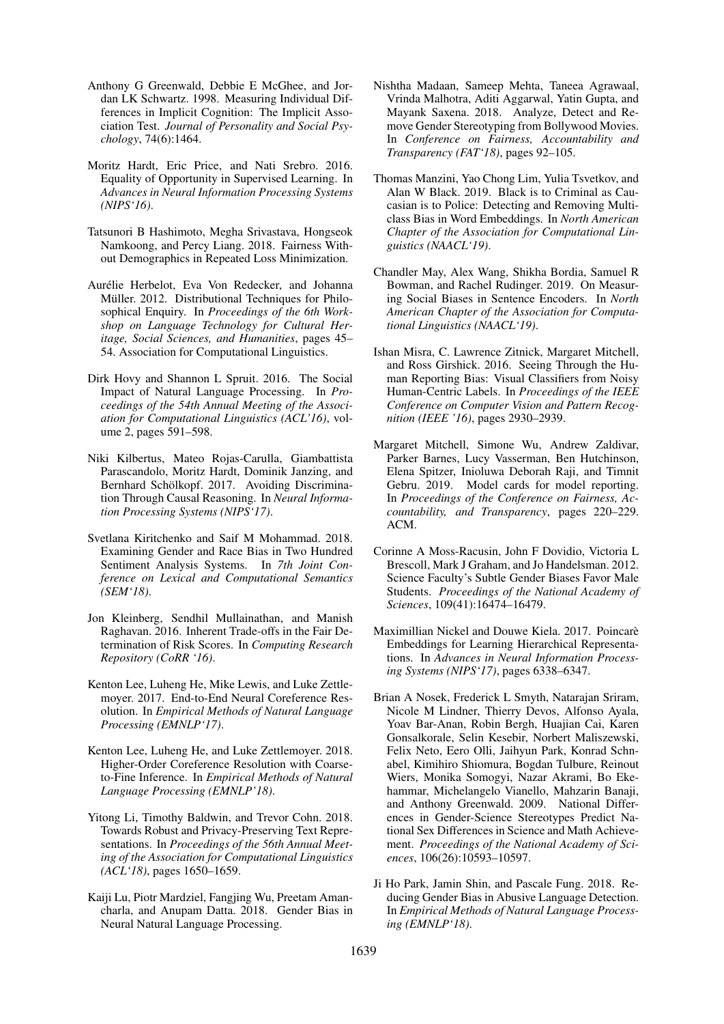- <span id="page-9-3"></span>Anthony G Greenwald, Debbie E McGhee, and Jordan LK Schwartz. 1998. Measuring Individual Differences in Implicit Cognition: The Implicit Association Test. *Journal of Personality and Social Psychology*, 74(6):1464.
- <span id="page-9-13"></span>Moritz Hardt, Eric Price, and Nati Srebro. 2016. Equality of Opportunity in Supervised Learning. In *Advances in Neural Information Processing Systems (NIPS'16)*.
- <span id="page-9-8"></span>Tatsunori B Hashimoto, Megha Srivastava, Hongseok Namkoong, and Percy Liang. 2018. Fairness Without Demographics in Repeated Loss Minimization.
- <span id="page-9-20"></span>Aurélie Herbelot, Eva Von Redecker, and Johanna Müller. 2012. Distributional Techniques for Philosophical Enquiry. In *Proceedings of the 6th Workshop on Language Technology for Cultural Heritage, Social Sciences, and Humanities*, pages 45– 54. Association for Computational Linguistics.
- <span id="page-9-18"></span>Dirk Hovy and Shannon L Spruit. 2016. The Social Impact of Natural Language Processing. In *Proceedings of the 54th Annual Meeting of the Association for Computational Linguistics (ACL'16)*, volume 2, pages 591–598.
- <span id="page-9-19"></span>Niki Kilbertus, Mateo Rojas-Carulla, Giambattista Parascandolo, Moritz Hardt, Dominik Janzing, and Bernhard Schölkopf. 2017. Avoiding Discrimination Through Causal Reasoning. In *Neural Information Processing Systems (NIPS'17)*.
- <span id="page-9-7"></span>Svetlana Kiritchenko and Saif M Mohammad. 2018. Examining Gender and Race Bias in Two Hundred Sentiment Analysis Systems. In *7th Joint Conference on Lexical and Computational Semantics (SEM'18)*.
- <span id="page-9-15"></span>Jon Kleinberg, Sendhil Mullainathan, and Manish Raghavan. 2016. Inherent Trade-offs in the Fair Determination of Risk Scores. In *Computing Research Repository (CoRR '16)*.
- <span id="page-9-9"></span>Kenton Lee, Luheng He, Mike Lewis, and Luke Zettlemoyer. 2017. End-to-End Neural Coreference Resolution. In *Empirical Methods of Natural Language Processing (EMNLP'17)*.
- <span id="page-9-10"></span>Kenton Lee, Luheng He, and Luke Zettlemoyer. 2018. Higher-Order Coreference Resolution with Coarseto-Fine Inference. In *Empirical Methods of Natural Language Processing (EMNLP'18)*.
- <span id="page-9-17"></span>Yitong Li, Timothy Baldwin, and Trevor Cohn. 2018. Towards Robust and Privacy-Preserving Text Representations. In *Proceedings of the 56th Annual Meeting of the Association for Computational Linguistics (ACL'18)*, pages 1650–1659.
- <span id="page-9-2"></span>Kaiji Lu, Piotr Mardziel, Fangjing Wu, Preetam Amancharla, and Anupam Datta. 2018. Gender Bias in Neural Natural Language Processing.
- <span id="page-9-11"></span>Nishtha Madaan, Sameep Mehta, Taneea Agrawaal, Vrinda Malhotra, Aditi Aggarwal, Yatin Gupta, and Mayank Saxena. 2018. Analyze, Detect and Remove Gender Stereotyping from Bollywood Movies. In *Conference on Fairness, Accountability and Transparency (FAT'18)*, pages 92–105.
- <span id="page-9-6"></span>Thomas Manzini, Yao Chong Lim, Yulia Tsvetkov, and Alan W Black. 2019. Black is to Criminal as Caucasian is to Police: Detecting and Removing Multiclass Bias in Word Embeddings. In *North American Chapter of the Association for Computational Linguistics (NAACL'19)*.
- <span id="page-9-5"></span>Chandler May, Alex Wang, Shikha Bordia, Samuel R Bowman, and Rachel Rudinger. 2019. On Measuring Social Biases in Sentence Encoders. In *North American Chapter of the Association for Computational Linguistics (NAACL'19)*.
- <span id="page-9-14"></span>Ishan Misra, C. Lawrence Zitnick, Margaret Mitchell, and Ross Girshick. 2016. Seeing Through the Human Reporting Bias: Visual Classifiers from Noisy Human-Centric Labels. In *Proceedings of the IEEE Conference on Computer Vision and Pattern Recognition (IEEE '16)*, pages 2930–2939.
- <span id="page-9-16"></span>Margaret Mitchell, Simone Wu, Andrew Zaldivar, Parker Barnes, Lucy Vasserman, Ben Hutchinson, Elena Spitzer, Inioluwa Deborah Raji, and Timnit Gebru. 2019. Model cards for model reporting. In *Proceedings of the Conference on Fairness, Accountability, and Transparency*, pages 220–229. ACM.
- <span id="page-9-0"></span>Corinne A Moss-Racusin, John F Dovidio, Victoria L Brescoll, Mark J Graham, and Jo Handelsman. 2012. Science Faculty's Subtle Gender Biases Favor Male Students. *Proceedings of the National Academy of Sciences*, 109(41):16474–16479.
- <span id="page-9-12"></span>Maximillian Nickel and Douwe Kiela. 2017. Poincare` Embeddings for Learning Hierarchical Representations. In *Advances in Neural Information Processing Systems (NIPS'17)*, pages 6338–6347.
- <span id="page-9-4"></span>Brian A Nosek, Frederick L Smyth, Natarajan Sriram, Nicole M Lindner, Thierry Devos, Alfonso Ayala, Yoav Bar-Anan, Robin Bergh, Huajian Cai, Karen Gonsalkorale, Selin Kesebir, Norbert Maliszewski, Felix Neto, Eero Olli, Jaihyun Park, Konrad Schnabel, Kimihiro Shiomura, Bogdan Tulbure, Reinout Wiers, Monika Somogyi, Nazar Akrami, Bo Ekehammar, Michelangelo Vianello, Mahzarin Banaji, and Anthony Greenwald. 2009. National Differences in Gender-Science Stereotypes Predict National Sex Differences in Science and Math Achievement. *Proceedings of the National Academy of Sciences*, 106(26):10593–10597.
- <span id="page-9-1"></span>Ji Ho Park, Jamin Shin, and Pascale Fung. 2018. Reducing Gender Bias in Abusive Language Detection. In *Empirical Methods of Natural Language Processing (EMNLP'18)*.